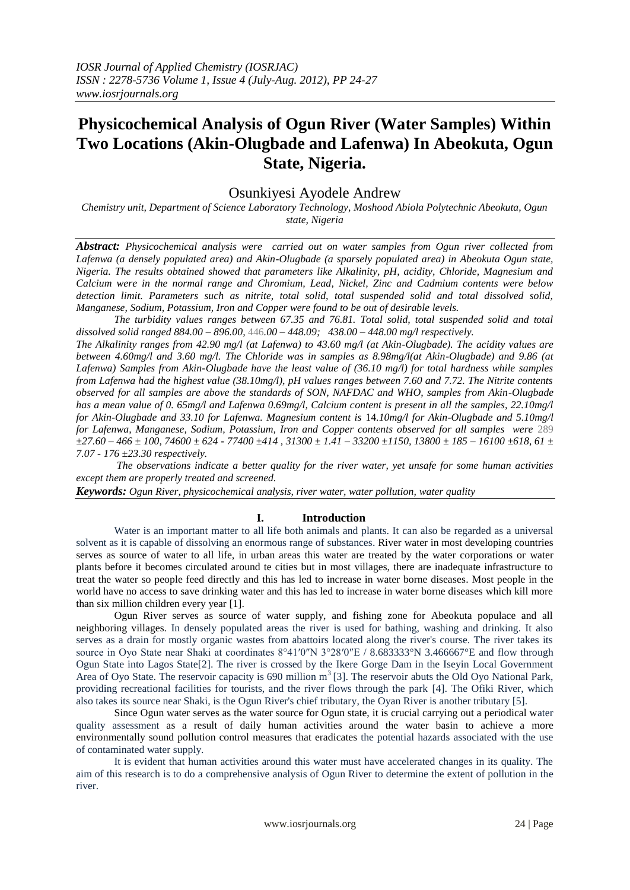# **Physicochemical Analysis of Ogun River (Water Samples) Within Two Locations (Akin-Olugbade and Lafenwa) In Abeokuta, Ogun State, Nigeria.**

# Osunkiyesi Ayodele Andrew

*Chemistry unit, Department of Science Laboratory Technology, Moshood Abiola Polytechnic Abeokuta, Ogun state, Nigeria*

*Abstract: Physicochemical analysis were carried out on water samples from Ogun river collected from Lafenwa (a densely populated area) and Akin-Olugbade (a sparsely populated area) in Abeokuta Ogun state, Nigeria. The results obtained showed that parameters like Alkalinity, pH, acidity, Chloride, Magnesium and Calcium were in the normal range and Chromium, Lead, Nickel, Zinc and Cadmium contents were below detection limit. Parameters such as nitrite, total solid, total suspended solid and total dissolved solid, Manganese, Sodium, Potassium, Iron and Copper were found to be out of desirable levels.* 

*The turbidity values ranges between 67.35 and 76.81. Total solid, total suspended solid and total dissolved solid ranged 884.00 – 896.00,* 446*.00 – 448.09; 438.00 – 448.00 mg/l respectively.* 

*The Alkalinity ranges from 42.90 mg/l (at Lafenwa) to 43.60 mg/l (at Akin-Olugbade). The acidity values are between 4.60mg/l and 3.60 mg/l. The Chloride was in samples as 8.98mg/l(at Akin-Olugbade) and 9.86 (at Lafenwa) Samples from Akin-Olugbade have the least value of (36.10 mg/l) for total hardness while samples from Lafenwa had the highest value (38.10mg/l), pH values ranges between 7.60 and 7.72. The Nitrite contents observed for all samples are above the standards of SON, NAFDAC and WHO, samples from Akin-Olugbade has a mean value of 0. 65mg/l and Lafenwa 0.69mg/l, Calcium content is present in all the samples, 22.10mg/l for Akin-Olugbade and 33.10 for Lafenwa. Magnesium content is* 14*.10mg/l for Akin-Olugbade and 5.10mg/l for Lafenwa, Manganese, Sodium, Potassium, Iron and Copper contents observed for all samples were* 289 *±27.60 – 466 ± 100, 74600 ± 624 - 77400 ±414 , 31300 ± 1.41 – 33200 ±1150, 13800 ± 185 – 16100 ±618, 61 ± 7.07 - 176 ±23.30 respectively.*

*The observations indicate a better quality for the river water, yet unsafe for some human activities except them are properly treated and screened.*

*Keywords: Ogun River, physicochemical analysis, river water, water pollution, water quality*

# **I. Introduction**

Water is an important matter to all life both animals and plants. It can also be regarded as a universal solvent as it is capable of dissolving an enormous range of substances. River water in most developing countries serves as source of water to all life, in urban areas this water are treated by the water corporations or water plants before it becomes circulated around te cities but in most villages, there are inadequate infrastructure to treat the water so people feed directly and this has led to increase in water borne diseases. Most people in the world have no access to save drinking water and this has led to increase in water borne diseases which kill more than six million children every year [1].

Ogun River serves as source of water supply, and fishing zone for Abeokuta populace and all neighboring villages. In densely populated areas the river is used for bathing, washing and drinking. It also serves as a drain for mostly organic wastes from abattoirs located along the river's course. The river takes its source in Oyo State near Shaki at coordinates  $8^{\circ}41'0''N$  3°28′0″E / 8.683333°N 3.466667°E and flow through Ogun State into Lagos State[2]. The river is crossed by the Ikere Gorge Dam in the Iseyin Local Government Area of Oyo State. The reservoir capacity is 690 million m<sup>3</sup> [3]. The reservoir abuts the Old Oyo National Park, providing recreational facilities for tourists, and the river flows through the park [4]. The Ofiki River, which also takes its source near Shaki, is the Ogun River's chief tributary, the Oyan River is another tributary [5].

Since Ogun water serves as the water source for Ogun state, it is crucial carrying out a periodical water quality assessment as a result of daily human activities around the water basin to achieve a more environmentally sound pollution control measures that eradicates the potential hazards associated with the use of contaminated water supply.

It is evident that human activities around this water must have accelerated changes in its quality. The aim of this research is to do a comprehensive analysis of Ogun River to determine the extent of pollution in the river.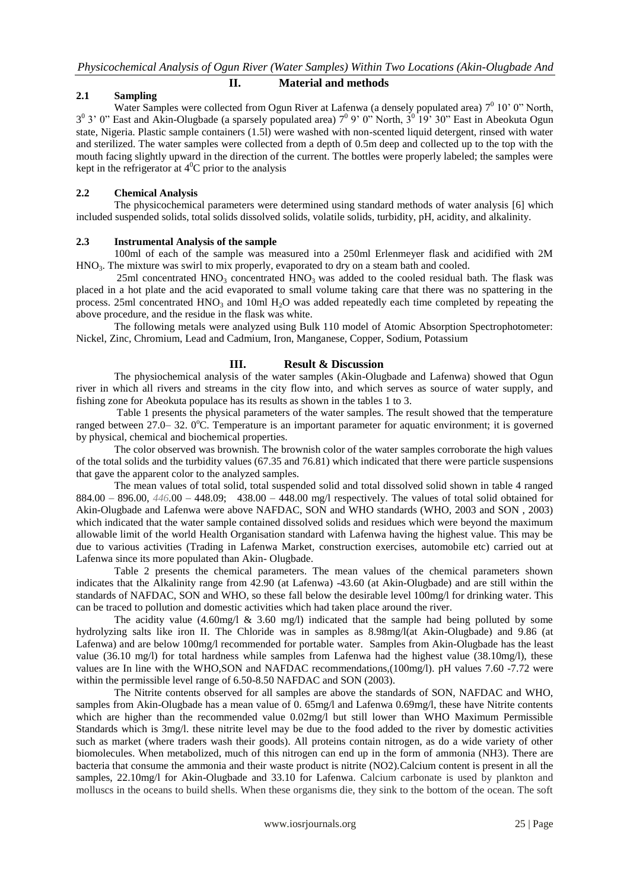## **II. Material and methods**

# **2.1 Sampling**

Water Samples were collected from Ogun River at Lafenwa (a densely populated area)  $7^0$  10' 0" North,  $3^0$  3' 0" East and Akin-Olugbade (a sparsely populated area)  $7^0$  9' 0" North,  $3^0$  19' 30" East in Abeokuta Ogun state, Nigeria. Plastic sample containers (1.5l) were washed with non-scented liquid detergent, rinsed with water and sterilized. The water samples were collected from a depth of 0.5m deep and collected up to the top with the mouth facing slightly upward in the direction of the current. The bottles were properly labeled; the samples were kept in the refrigerator at  $4^0C$  prior to the analysis

# **2.2 Chemical Analysis**

The physicochemical parameters were determined using standard methods of water analysis [6] which included suspended solids, total solids dissolved solids, volatile solids, turbidity, pH, acidity, and alkalinity.

## **2.3 Instrumental Analysis of the sample**

100ml of each of the sample was measured into a 250ml Erlenmeyer flask and acidified with 2M HNO<sub>3</sub>. The mixture was swirl to mix properly, evaporated to dry on a steam bath and cooled.

25ml concentrated HNO<sub>3</sub> concentrated HNO<sub>3</sub> was added to the cooled residual bath. The flask was placed in a hot plate and the acid evaporated to small volume taking care that there was no spattering in the process. 25ml concentrated  $HNO<sub>3</sub>$  and 10ml H<sub>2</sub>O was added repeatedly each time completed by repeating the above procedure, and the residue in the flask was white.

The following metals were analyzed using Bulk 110 model of Atomic Absorption Spectrophotometer: Nickel, Zinc, Chromium, Lead and Cadmium, Iron, Manganese, Copper, Sodium, Potassium

# **III. Result & Discussion**

The physiochemical analysis of the water samples (Akin-Olugbade and Lafenwa) showed that Ogun river in which all rivers and streams in the city flow into, and which serves as source of water supply, and fishing zone for Abeokuta populace has its results as shown in the tables 1 to 3.

Table 1 presents the physical parameters of the water samples. The result showed that the temperature ranged between 27.0– 32. 0<sup>o</sup>C. Temperature is an important parameter for aquatic environment; it is governed by physical, chemical and biochemical properties.

The color observed was brownish. The brownish color of the water samples corroborate the high values of the total solids and the turbidity values (67.35 and 76.81) which indicated that there were particle suspensions that gave the apparent color to the analyzed samples.

The mean values of total solid, total suspended solid and total dissolved solid shown in table 4 ranged 884.00 – 896.00, *446.*00 – 448.09; 438.00 – 448.00 mg/l respectively. The values of total solid obtained for Akin-Olugbade and Lafenwa were above NAFDAC, SON and WHO standards (WHO, 2003 and SON , 2003) which indicated that the water sample contained dissolved solids and residues which were beyond the maximum allowable limit of the world Health Organisation standard with Lafenwa having the highest value. This may be due to various activities (Trading in Lafenwa Market, construction exercises, automobile etc) carried out at Lafenwa since its more populated than Akin- Olugbade.

Table 2 presents the chemical parameters. The mean values of the chemical parameters shown indicates that the Alkalinity range from 42.90 (at Lafenwa) -43.60 (at Akin-Olugbade) and are still within the standards of NAFDAC, SON and WHO, so these fall below the desirable level 100mg/l for drinking water. This can be traced to pollution and domestic activities which had taken place around the river.

The acidity value  $(4.60 \text{mg}/l \& 3.60 \text{mg}/l)$  indicated that the sample had being polluted by some hydrolyzing salts like iron II. The Chloride was in samples as 8.98mg/l(at Akin-Olugbade) and 9.86 (at Lafenwa) and are below 100mg/l recommended for portable water. Samples from Akin-Olugbade has the least value (36.10 mg/l) for total hardness while samples from Lafenwa had the highest value (38.10mg/l), these values are In line with the WHO,SON and NAFDAC recommendations,(100mg/l). pH values 7.60 -7.72 were within the permissible level range of 6.50-8.50 NAFDAC and SON (2003).

The Nitrite contents observed for all samples are above the standards of SON, NAFDAC and WHO, samples from Akin-Olugbade has a mean value of 0. 65mg/l and Lafenwa 0.69mg/l, these have Nitrite contents which are higher than the recommended value 0.02mg/l but still lower than WHO Maximum Permissible Standards which is 3mg/l. these nitrite level may be due to the food added to the river by domestic activities such as market (where traders wash their goods). All proteins contain nitrogen, as do a wide variety of other biomolecules. When metabolized, much of this nitrogen can end up in the form of ammonia (NH3). There are bacteria that consume the ammonia and their waste product is nitrite (NO2).Calcium content is present in all the samples, 22.10mg/l for Akin-Olugbade and 33.10 for Lafenwa. Calcium carbonate is used by plankton and molluscs in the oceans to build shells. When these organisms die, they sink to the bottom of the ocean. The soft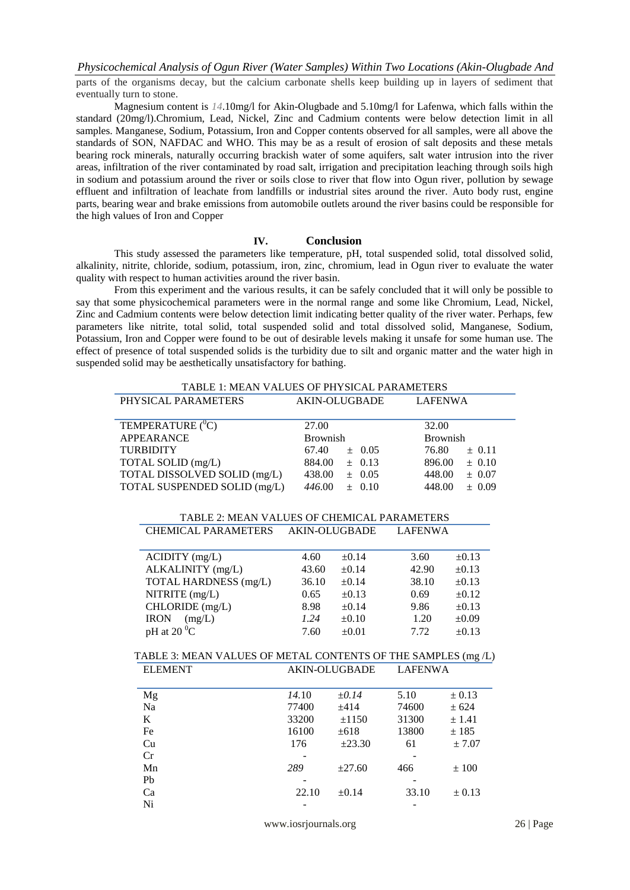parts of the organisms decay, but the calcium carbonate shells keep building up in layers of sediment that eventually turn to stone.

Magnesium content is *14*.10mg/l for Akin-Olugbade and 5.10mg/l for Lafenwa, which falls within the standard (20mg/l).Chromium, Lead, Nickel, Zinc and Cadmium contents were below detection limit in all samples. Manganese, Sodium, Potassium, Iron and Copper contents observed for all samples, were all above the standards of SON, NAFDAC and WHO. This may be as a result of erosion of salt deposits and these metals bearing rock minerals, naturally occurring brackish water of some aquifers, salt water intrusion into the river areas, infiltration of the river contaminated by road salt, irrigation and precipitation leaching through soils high in sodium and potassium around the river or soils close to river that flow into Ogun river, pollution by sewage effluent and infiltration of leachate from landfills or industrial sites around the river. Auto body rust, engine parts, bearing wear and brake emissions from automobile outlets around the river basins could be responsible for the high values of Iron and Copper

# **IV. Conclusion**

This study assessed the parameters like temperature, pH, total suspended solid, total dissolved solid, alkalinity, nitrite, chloride, sodium, potassium, iron, zinc, chromium, lead in Ogun river to evaluate the water quality with respect to human activities around the river basin.

From this experiment and the various results, it can be safely concluded that it will only be possible to say that some physicochemical parameters were in the normal range and some like Chromium, Lead, Nickel, Zinc and Cadmium contents were below detection limit indicating better quality of the river water. Perhaps, few parameters like nitrite, total solid, total suspended solid and total dissolved solid, Manganese, Sodium, Potassium, Iron and Copper were found to be out of desirable levels making it unsafe for some human use. The effect of presence of total suspended solids is the turbidity due to silt and organic matter and the water high in suspended solid may be aesthetically unsatisfactory for bathing.

| TABLE 1: MEAN VALUES OF PHYSICAL PARAMETERS                  |                      |                   |                     |                      |
|--------------------------------------------------------------|----------------------|-------------------|---------------------|----------------------|
| PHYSICAL PARAMETERS                                          | <b>AKIN-OLUGBADE</b> |                   | <b>LAFENWA</b>      |                      |
| TEMPERATURE ( <sup>0</sup> C)                                | 27.00                |                   | 32.00               |                      |
| <b>APPEARANCE</b>                                            | <b>Brownish</b>      |                   | <b>Brownish</b>     |                      |
| TURBIDITY                                                    | 67.40<br>$\pm$ 0.05  |                   | 76.80<br>$\pm 0.11$ |                      |
| TOTAL SOLID (mg/L)                                           |                      | $884.00 \pm 0.13$ | 896.00              | ± 0.10               |
| TOTAL DISSOLVED SOLID (mg/L)                                 |                      | $438.00 \pm 0.05$ |                     | 448.00<br>$\pm 0.07$ |
| TOTAL SUSPENDED SOLID (mg/L)                                 |                      | $446.00 \pm 0.10$ | 448.00              | ± 0.09               |
| TABLE 2: MEAN VALUES OF CHEMICAL PARAMETERS                  |                      |                   |                     |                      |
| CHEMICAL PARAMETERS AKIN-OLUGBADE                            |                      |                   | <b>LAFENWA</b>      |                      |
| $ACIDITY$ (mg/L)                                             | 4.60                 | $\pm 0.14$        | 3.60                | $\pm 0.13$           |
| ALKALINITY (mg/L)                                            | 43.60                | $\pm 0.14$        | 42.90               | $\pm 0.13$           |
| TOTAL HARDNESS (mg/L)                                        | 36.10                | $\pm 0.14$        | 38.10               | $\pm 0.13$           |
| NITRITE (mg/L)                                               | 0.65                 | $\pm 0.13$        | 0.69                | $\pm 0.12$           |
| CHLORIDE (mg/L)                                              | 8.98                 | $\pm 0.14$        | 9.86                | $\pm 0.13$           |
| $IRON$ (mg/L)                                                | 1.24                 | $\pm 0.10$        | 1.20                | $\pm 0.09$           |
| pH at 20 $\rm ^{0}C$                                         | 7.60                 | $\pm 0.01$        | 7.72                | $\pm 0.13$           |
| TABLE 3: MEAN VALUES OF METAL CONTENTS OF THE SAMPLES (mg/L) |                      |                   |                     |                      |
| <b>ELEMENT</b>                                               | <b>AKIN-OLUGBADE</b> |                   | <b>LAFENWA</b>      |                      |
| Mg                                                           | 14.10                | $\pm 0.14$        | 5.10                | $\pm$ 0.13           |
| Na                                                           | 77400                | ±414              | 74600               | ± 624                |
| K                                                            |                      | $33200 + 1150$    | 31300               | ± 1.41               |
| Fe                                                           | 16100                | $\pm 618$         | 13800               | ± 185                |
| Cu                                                           | 176                  | $\pm 23.30$       | 61                  | ± 7.07               |
| Cr                                                           |                      |                   |                     |                      |
| Mn                                                           | 289                  | $\pm 27.60$       | 466                 | ±100                 |
| Pb                                                           |                      |                   |                     |                      |
| Ca                                                           | 22.10                | $\pm 0.14$        | 33.10               | $\pm 0.13$           |
| Ni                                                           |                      |                   |                     |                      |
|                                                              | www.iosrjournals.org |                   |                     |                      |